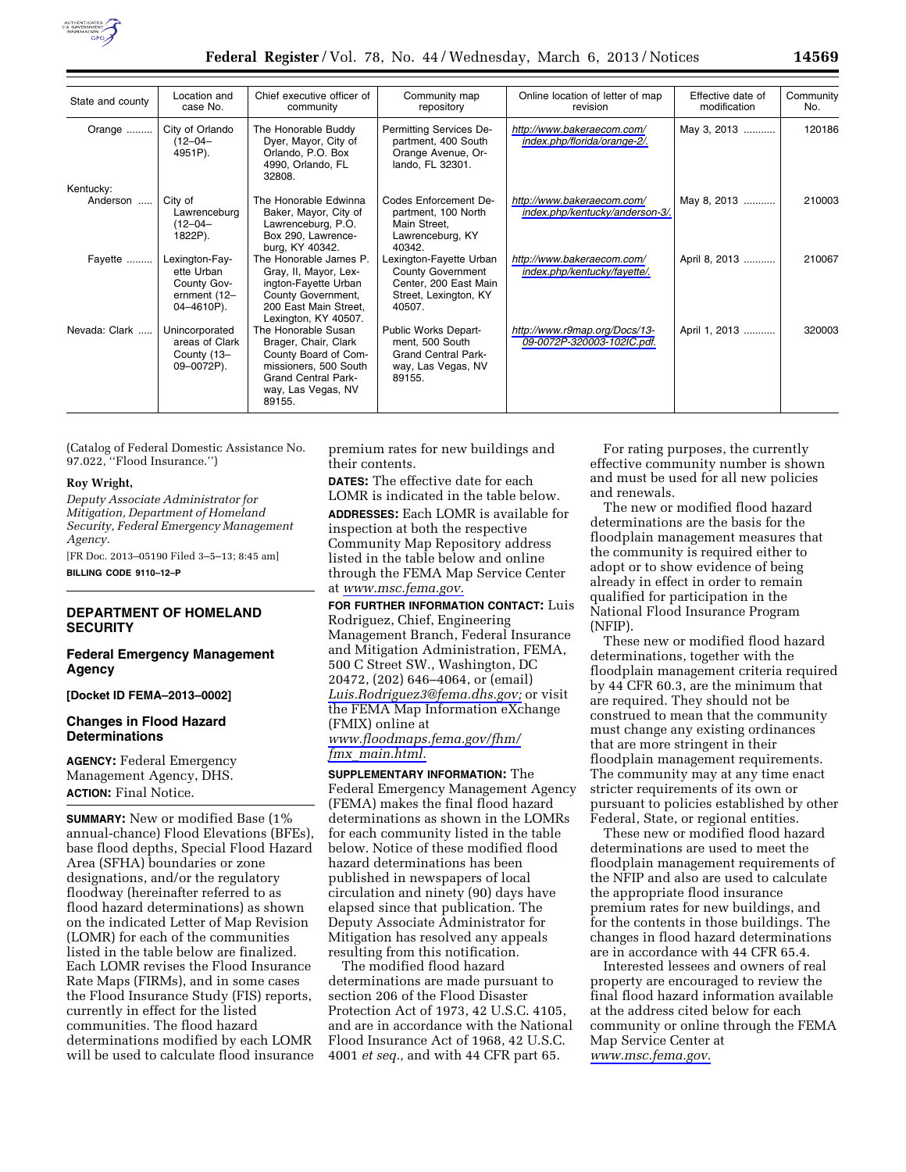

| State and county | Location and<br>case No.                                                  | Chief executive officer of                                                                                                                                 | Community map                                                                                                   | Online location of letter of map<br>revision                  | Effective date of<br>modification | Community<br>No. |
|------------------|---------------------------------------------------------------------------|------------------------------------------------------------------------------------------------------------------------------------------------------------|-----------------------------------------------------------------------------------------------------------------|---------------------------------------------------------------|-----------------------------------|------------------|
|                  |                                                                           | community                                                                                                                                                  | repository                                                                                                      |                                                               |                                   |                  |
| Orange           | City of Orlando<br>$(12 - 04 -$<br>4951P).                                | The Honorable Buddy<br>Dyer, Mayor, City of<br>Orlando, P.O. Box<br>4990, Orlando, FL<br>32808.                                                            | Permitting Services De-<br>partment, 400 South<br>Orange Avenue, Or-<br>lando, FL 32301.                        | http://www.bakeraecom.com/<br>index.php/florida/orange-2/.    | May 3, 2013                       | 120186           |
| Kentucky:        |                                                                           |                                                                                                                                                            |                                                                                                                 |                                                               |                                   |                  |
| Anderson         | City of<br>Lawrenceburg<br>$(12 - 04 -$<br>1822P).                        | The Honorable Edwinna<br>Baker, Mayor, City of<br>Lawrenceburg, P.O.<br>Box 290, Lawrence-<br>burg, KY 40342.                                              | Codes Enforcement De-<br>partment, 100 North<br>Main Street,<br>Lawrenceburg, KY<br>40342.                      | http://www.bakeraecom.com/<br>index.php/kentucky/anderson-3/. | May 8, 2013                       | 210003           |
| Fayette          | Lexington-Fay-<br>ette Urban<br>County Gov-<br>ernment (12-<br>04-4610P). | The Honorable James P.<br>Gray, II, Mayor, Lex-<br>ington-Fayette Urban<br>County Government,<br>200 East Main Street.<br>Lexington, KY 40507.             | Lexington-Fayette Urban<br><b>County Government</b><br>Center, 200 East Main<br>Street, Lexington, KY<br>40507. | http://www.bakeraecom.com/<br>index.php/kentucky/fayette/.    | April 8, 2013                     | 210067           |
| Nevada: Clark    | Unincorporated<br>areas of Clark<br>County (13-<br>09-0072P).             | The Honorable Susan<br>Brager, Chair, Clark<br>County Board of Com-<br>missioners, 500 South<br><b>Grand Central Park-</b><br>way, Las Vegas, NV<br>89155. | Public Works Depart-<br>ment, 500 South<br><b>Grand Central Park-</b><br>way, Las Vegas, NV<br>89155.           | http://www.r9map.org/Docs/13-<br>09-0072P-320003-102IC.pdf.   | April 1, 2013                     | 320003           |

(Catalog of Federal Domestic Assistance No. 97.022, ''Flood Insurance.'')

#### **Roy Wright,**

*Deputy Associate Administrator for Mitigation, Department of Homeland Security, Federal Emergency Management Agency.* 

[FR Doc. 2013–05190 Filed 3–5–13; 8:45 am]

**BILLING CODE 9110–12–P** 

# **DEPARTMENT OF HOMELAND SECURITY**

### **Federal Emergency Management Agency**

**[Docket ID FEMA–2013–0002]** 

## **Changes in Flood Hazard Determinations**

**AGENCY:** Federal Emergency Management Agency, DHS. **ACTION:** Final Notice.

**SUMMARY:** New or modified Base (1% annual-chance) Flood Elevations (BFEs), base flood depths, Special Flood Hazard Area (SFHA) boundaries or zone designations, and/or the regulatory floodway (hereinafter referred to as flood hazard determinations) as shown on the indicated Letter of Map Revision (LOMR) for each of the communities listed in the table below are finalized. Each LOMR revises the Flood Insurance Rate Maps (FIRMs), and in some cases the Flood Insurance Study (FIS) reports, currently in effect for the listed communities. The flood hazard determinations modified by each LOMR will be used to calculate flood insurance premium rates for new buildings and their contents.

**DATES:** The effective date for each LOMR is indicated in the table below. **ADDRESSES:** Each LOMR is available for inspection at both the respective Community Map Repository address listed in the table below and online through the FEMA Map Service Center at *[www.msc.fema.gov.](http://www.msc.fema.gov)* 

**FOR FURTHER INFORMATION CONTACT:** Luis Rodriguez, Chief, Engineering Management Branch, Federal Insurance and Mitigation Administration, FEMA, 500 C Street SW., Washington, DC 20472, (202) 646–4064, or (email) *[Luis.Rodriguez3@fema.dhs.gov;](mailto:Luis.Rodriguez3@fema.dhs.gov)* or visit the FEMA Map Information eXchange (FMIX) online at *[www.floodmaps.fema.gov/fhm/](http://www.floodmaps.fema.gov/fhm/fmx_main.html) fmx*\_*[main.html.](http://www.floodmaps.fema.gov/fhm/fmx_main.html)* 

**SUPPLEMENTARY INFORMATION:** The Federal Emergency Management Agency (FEMA) makes the final flood hazard determinations as shown in the LOMRs for each community listed in the table below. Notice of these modified flood hazard determinations has been published in newspapers of local circulation and ninety (90) days have elapsed since that publication. The Deputy Associate Administrator for Mitigation has resolved any appeals resulting from this notification.

The modified flood hazard determinations are made pursuant to section 206 of the Flood Disaster Protection Act of 1973, 42 U.S.C. 4105, and are in accordance with the National Flood Insurance Act of 1968, 42 U.S.C. 4001 *et seq.,* and with 44 CFR part 65.

For rating purposes, the currently effective community number is shown and must be used for all new policies and renewals.

The new or modified flood hazard determinations are the basis for the floodplain management measures that the community is required either to adopt or to show evidence of being already in effect in order to remain qualified for participation in the National Flood Insurance Program (NFIP).

These new or modified flood hazard determinations, together with the floodplain management criteria required by 44 CFR 60.3, are the minimum that are required. They should not be construed to mean that the community must change any existing ordinances that are more stringent in their floodplain management requirements. The community may at any time enact stricter requirements of its own or pursuant to policies established by other Federal, State, or regional entities.

These new or modified flood hazard determinations are used to meet the floodplain management requirements of the NFIP and also are used to calculate the appropriate flood insurance premium rates for new buildings, and for the contents in those buildings. The changes in flood hazard determinations are in accordance with 44 CFR 65.4.

Interested lessees and owners of real property are encouraged to review the final flood hazard information available at the address cited below for each community or online through the FEMA Map Service Center at *[www.msc.fema.gov.](http://www.msc.fema.gov)*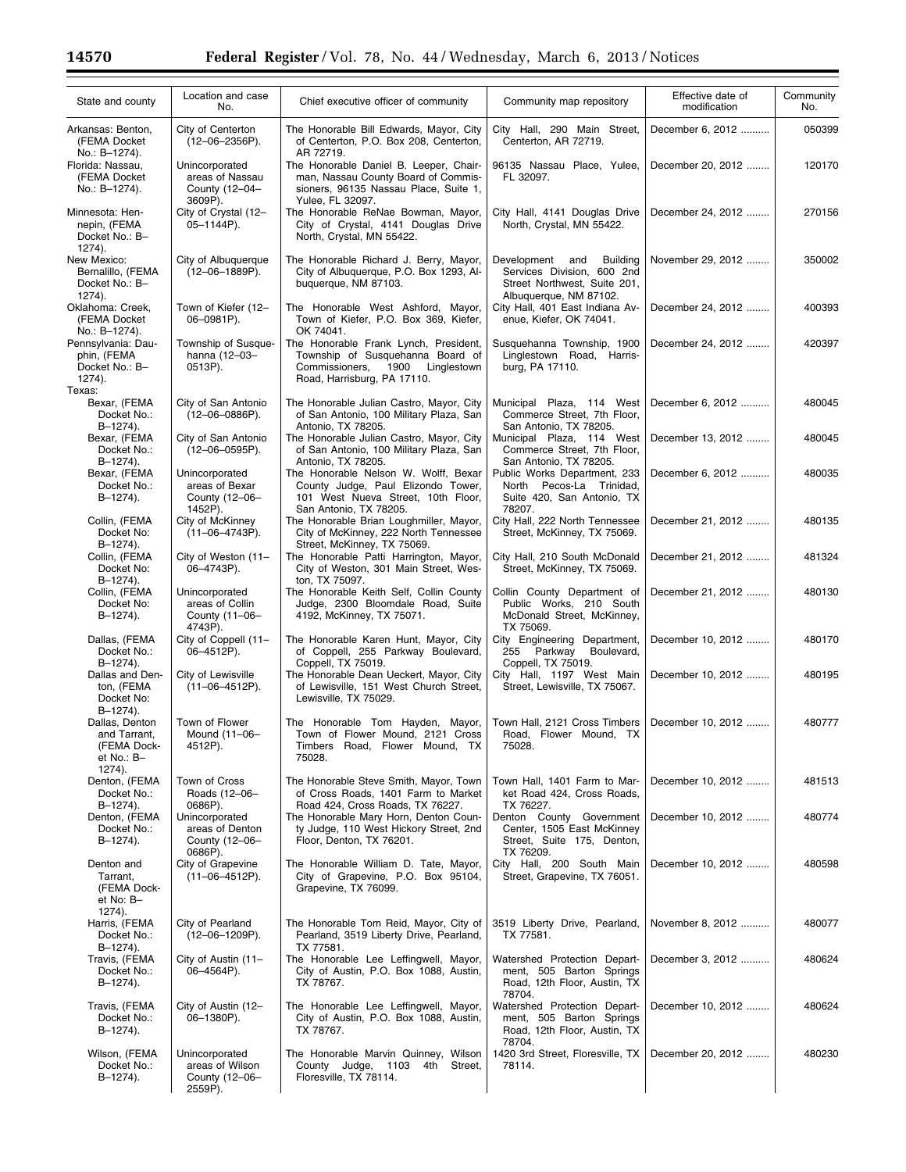Ξ

| State and county                                                        | Location and case<br>No.                                       | Chief executive officer of community                                                                                                              | Community map repository                                                                                               | Effective date of<br>modification | Community<br>No. |
|-------------------------------------------------------------------------|----------------------------------------------------------------|---------------------------------------------------------------------------------------------------------------------------------------------------|------------------------------------------------------------------------------------------------------------------------|-----------------------------------|------------------|
| Arkansas: Benton,<br>(FEMA Docket<br>No.: B-1274).                      | City of Centerton<br>$(12 - 06 - 2356P)$ .                     | The Honorable Bill Edwards, Mayor, City<br>of Centerton, P.O. Box 208, Centerton,<br>AR 72719.                                                    | City Hall, 290 Main Street,<br>Centerton, AR 72719.                                                                    | December 6, 2012                  | 050399           |
| Florida: Nassau,<br>(FEMA Docket<br>No.: B-1274).                       | Unincorporated<br>areas of Nassau<br>County (12-04-<br>3609P). | The Honorable Daniel B. Leeper, Chair-<br>man, Nassau County Board of Commis-<br>sioners, 96135 Nassau Place, Suite 1,<br>Yulee, FL 32097.        | 96135 Nassau Place, Yulee,<br>FL 32097.                                                                                | December 20, 2012                 | 120170           |
| Minnesota: Hen-<br>nepin, (FEMA<br>Docket No.: B-<br>$1274$ ).          | City of Crystal (12-<br>05-1144P).                             | The Honorable ReNae Bowman, Mayor,<br>City of Crystal, 4141 Douglas Drive<br>North, Crystal, MN 55422.                                            | City Hall, 4141 Douglas Drive<br>North, Crystal, MN 55422.                                                             | December 24, 2012                 | 270156           |
| New Mexico:<br>Bernalillo, (FEMA<br>Docket No.: B-<br>1274).            | City of Albuguergue<br>$(12 - 06 - 1889P)$ .                   | The Honorable Richard J. Berry, Mayor,<br>City of Albuquerque, P.O. Box 1293, Al-<br>buquerque, NM 87103.                                         | Development<br>and<br>Building<br>Services Division, 600 2nd<br>Street Northwest, Suite 201,<br>Albuquerque, NM 87102. | November 29, 2012                 | 350002           |
| Oklahoma: Creek,<br>(FEMA Docket<br>No.: B-1274).                       | Town of Kiefer (12-<br>06-0981P).                              | The Honorable West Ashford, Mayor,<br>Town of Kiefer, P.O. Box 369, Kiefer,<br>OK 74041.                                                          | City Hall, 401 East Indiana Av-<br>enue, Kiefer, OK 74041.                                                             | December 24, 2012                 | 400393           |
| Pennsylvania: Dau-<br>phin, (FEMA<br>Docket No.: B-<br>1274).<br>Texas: | Township of Susque-<br>hanna (12-03-<br>0513P).                | The Honorable Frank Lynch, President,<br>Township of Susquehanna Board of<br>Commissioners,<br>1900<br>Linglestown<br>Road, Harrisburg, PA 17110. | Susquehanna Township, 1900<br>Linglestown Road, Harris-<br>burg, PA 17110.                                             | December 24, 2012                 | 420397           |
| Bexar, (FEMA<br>Docket No.:<br>B-1274).                                 | City of San Antonio<br>$(12 - 06 - 0886P)$ .                   | The Honorable Julian Castro, Mayor, City<br>of San Antonio, 100 Military Plaza, San<br>Antonio, TX 78205.                                         | Municipal Plaza, 114 West<br>Commerce Street, 7th Floor,<br>San Antonio, TX 78205.                                     | December 6, 2012                  | 480045           |
| Bexar, (FEMA<br>Docket No.:<br>B-1274).                                 | City of San Antonio<br>$(12 - 06 - 0595P)$ .                   | The Honorable Julian Castro, Mayor, City<br>of San Antonio, 100 Military Plaza, San<br>Antonio, TX 78205.                                         | Municipal Plaza, 114 West<br>Commerce Street, 7th Floor,<br>San Antonio, TX 78205.                                     | December 13, 2012                 | 480045           |
| Bexar, (FEMA<br>Docket No.:<br>B-1274).                                 | Unincorporated<br>areas of Bexar<br>County (12-06-<br>1452P).  | The Honorable Nelson W. Wolff, Bexar<br>County Judge, Paul Elizondo Tower,<br>101 West Nueva Street, 10th Floor,<br>San Antonio, TX 78205.        | Public Works Department, 233<br>North Pecos-La Trinidad.<br>Suite 420, San Antonio, TX<br>78207.                       | December 6, 2012                  | 480035           |
| Collin, (FEMA<br>Docket No:<br>B-1274).                                 | City of McKinney<br>$(11-06-4743P)$ .                          | The Honorable Brian Loughmiller, Mayor,<br>City of McKinney, 222 North Tennessee<br>Street, McKinney, TX 75069.                                   | City Hall, 222 North Tennessee<br>Street, McKinney, TX 75069.                                                          | December 21, 2012                 | 480135           |
| Collin, (FEMA<br>Docket No:<br>B-1274).                                 | City of Weston (11-<br>06-4743P).                              | The Honorable Patti Harrington, Mayor,<br>City of Weston, 301 Main Street, Wes-<br>ton, TX 75097.                                                 | City Hall, 210 South McDonald<br>Street, McKinney, TX 75069.                                                           | December 21, 2012                 | 481324           |
| Collin, (FEMA<br>Docket No:<br>B-1274).                                 | Unincorporated<br>areas of Collin<br>County (11-06-<br>4743P). | The Honorable Keith Self, Collin County<br>Judge, 2300 Bloomdale Road, Suite<br>4192, McKinney, TX 75071.                                         | Collin County Department of<br>Public Works, 210 South<br>McDonald Street, McKinney,<br>TX 75069.                      | December 21, 2012                 | 480130           |
| Dallas, (FEMA<br>Docket No.:<br>B-1274).                                | City of Coppell (11-<br>06-4512P).                             | The Honorable Karen Hunt, Mayor, City<br>of Coppell, 255 Parkway Boulevard,<br>Coppell, TX 75019.                                                 | City Engineering Department,<br>255 Parkway<br>Boulevard,<br>Coppell, TX 75019.                                        | December 10, 2012                 | 480170           |
| Dallas and Den-<br>ton, (FEMA<br>Docket No:<br>B-1274).                 | City of Lewisville<br>$(11-06-4512P)$ .                        | The Honorable Dean Ueckert, Mayor, City<br>of Lewisville, 151 West Church Street,<br>Lewisville, TX 75029.                                        | City Hall, 1197 West Main<br>Street, Lewisville, TX 75067.                                                             | December 10, 2012                 | 480195           |
| Dallas, Denton<br>and Tarrant,<br>(FEMA Dock-<br>et No.: B–<br>1274).   | Town of Flower<br>Mound (11-06-<br>4512P).                     | The Honorable Tom Hayden, Mayor,<br>Town of Flower Mound, 2121 Cross<br>Timbers Road, Flower Mound, TX<br>75028.                                  | Town Hall, 2121 Cross Timbers<br>Road. Flower Mound. TX<br>75028.                                                      | December 10, 2012                 | 480777           |
| Denton, (FEMA<br>Docket No.:<br>B-1274).                                | Town of Cross<br>Roads (12-06-<br>0686P).                      | The Honorable Steve Smith, Mayor, Town<br>of Cross Roads, 1401 Farm to Market<br>Road 424. Cross Roads. TX 76227.                                 | Town Hall, 1401 Farm to Mar-<br>ket Road 424, Cross Roads,<br>TX 76227.                                                | December 10, 2012                 | 481513           |
| Denton, (FEMA<br>Docket No.:<br>B-1274).                                | Unincorporated<br>areas of Denton<br>County (12-06-<br>0686P). | The Honorable Mary Horn, Denton Coun-<br>ty Judge, 110 West Hickory Street, 2nd<br>Floor, Denton, TX 76201.                                       | Denton County Government<br>Center, 1505 East McKinney<br>Street, Suite 175, Denton,<br>TX 76209.                      | December 10, 2012                 | 480774           |
| Denton and<br>Tarrant.<br>(FEMA Dock-<br>et No: B-<br>1274).            | City of Grapevine<br>$(11-06-4512P)$ .                         | The Honorable William D. Tate, Mayor,<br>City of Grapevine, P.O. Box 95104,<br>Grapevine, TX 76099.                                               | City Hall, 200 South Main<br>Street, Grapevine, TX 76051.                                                              | December 10, 2012                 | 480598           |
| Harris, (FEMA<br>Docket No.:<br>B-1274).                                | City of Pearland<br>$(12 - 06 - 1209P)$ .                      | The Honorable Tom Reid, Mayor, City of<br>Pearland, 3519 Liberty Drive, Pearland,<br>TX 77581.                                                    | 3519 Liberty Drive, Pearland,<br>TX 77581.                                                                             | November 8, 2012                  | 480077           |
| Travis, (FEMA<br>Docket No.:<br>B-1274).                                | City of Austin (11-<br>06-4564P).                              | The Honorable Lee Leffingwell, Mayor,<br>City of Austin, P.O. Box 1088, Austin,<br>TX 78767.                                                      | Watershed Protection Depart-<br>ment, 505 Barton Springs<br>Road, 12th Floor, Austin, TX<br>78704.                     | December 3, 2012                  | 480624           |
| Travis, (FEMA<br>Docket No.:<br>B-1274).                                | City of Austin (12-<br>06-1380P).                              | The Honorable Lee Leffingwell, Mayor,<br>City of Austin, P.O. Box 1088, Austin,<br>TX 78767.                                                      | Watershed Protection Depart-<br>ment, 505 Barton Springs<br>Road, 12th Floor, Austin, TX<br>78704.                     | December 10, 2012                 | 480624           |
| Wilson, (FEMA<br>Docket No.:<br>B-1274).                                | Unincorporated<br>areas of Wilson<br>County (12-06-<br>2559P). | The Honorable Marvin Quinney, Wilson<br>County Judge, 1103 4th Street,<br>Floresville, TX 78114.                                                  | 1420 3rd Street, Floresville, TX<br>78114.                                                                             | December 20, 2012                 | 480230           |